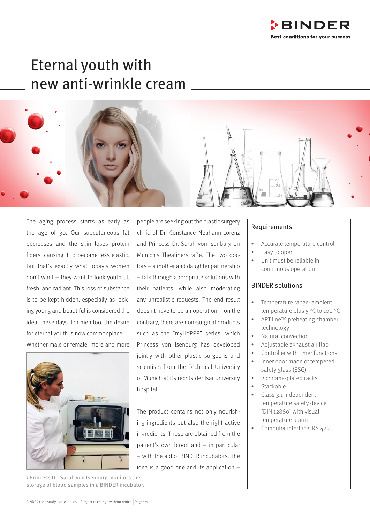

# Eternal youth with new anti-wrinkle cream



The aging process starts as early as the age of 30. Our subcutaneous fat decreases and the skin loses protein fibers, causing it to become less elastic. But that's exactly what today's women don't want – they want to look youthful, fresh, and radiant. This loss of substance is to be kept hidden, especially as looking young and beautiful is considered the ideal these days. For men too, the desire for eternal youth is now commonplace. Whether male or female, more and more



> Princess Dr. Sarah von Isenburg monitors the storage of blood samples in a BINDER incubator.

people are seeking out the plastic surgery clinic of Dr. Constance Neuhann-Lorenz and Princess Dr. Sarah von Isenburg on Munich's Theatinerstraße. The two doctors – a mother and daughter partnership – talk through appropriate solutions with their patients, while also moderating any unrealistic requests. The end result doesn't have to be an operation – on the contrary, there are non-surgical products such as the "myHYPPP" series, which Princess von Isenburg has developed jointly with other plastic surgeons and scientists from the Technical University of Munich at its rechts der Isar university hospital.

The product contains not only nourishing ingredients but also the right active ingredients. These are obtained from the patient's own blood and – in particular – with the aid of BINDER incubators. The idea is a good one and its application –

## Requirements

- Accurate temperature control
- Easy to open
- Unit must be reliable in continuous operation

## BINDER solutions

- Temperature range: ambient temperature plus 5 °C to 100 °C
- APT.line™ preheating chamber technology
- Natural convection
- Adjustable exhaust air flap
- Controller with timer functions
- Inner door made of tempered safety glass (ESG)
- 2 chrome-plated racks
- **Stackable**
- Class 3.1 independent temperature safety device (DIN 12880) with visual temperature alarm
- Computer interface: RS 422